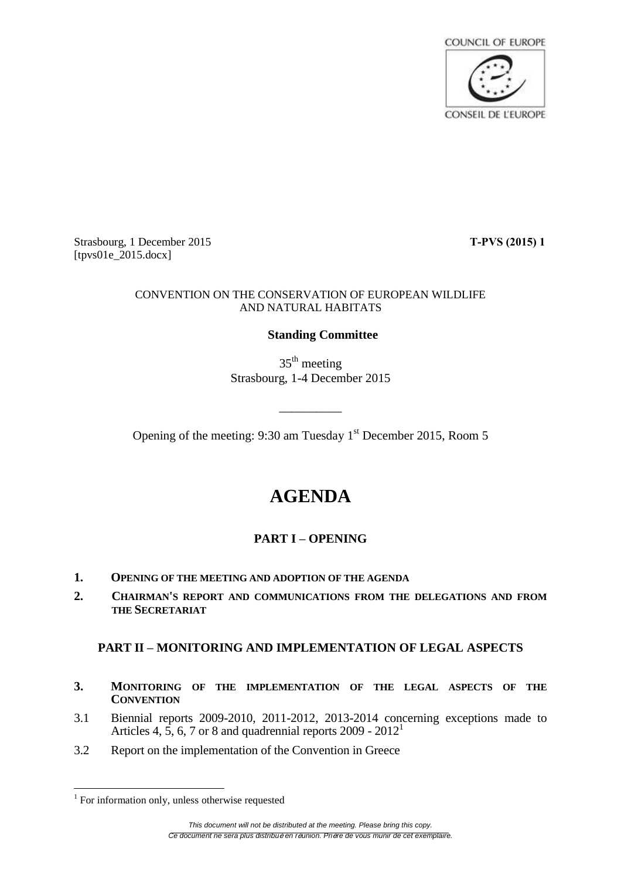

Strasbourg, 1 December 2015 **T-PVS (2015) 1** [tpvs01e\_2015.docx]

#### CONVENTION ON THE CONSERVATION OF EUROPEAN WILDLIFE AND NATURAL HABITATS

### **Standing Committee**

35<sup>th</sup> meeting Strasbourg, 1-4 December 2015

Opening of the meeting: 9:30 am Tuesday 1<sup>st</sup> December 2015, Room 5

\_\_\_\_\_\_\_\_\_\_

# **AGENDA**

# **PART I – OPENING**

- **1. OPENING OF THE MEETING AND ADOPTION OF THE AGENDA**
- **2. CHAIRMAN'S REPORT AND COMMUNICATIONS FROM THE DELEGATIONS AND FROM THE SECRETARIAT**

### **PART II – MONITORING AND IMPLEMENTATION OF LEGAL ASPECTS**

- **3. MONITORING OF THE IMPLEMENTATION OF THE LEGAL ASPECTS OF THE CONVENTION**
- 3.1 Biennial reports 2009-2010, 2011-2012, 2013-2014 concerning exceptions made to Articles 4, 5, 6, 7 or 8 and quadrennial reports  $2009 - 2012^1$
- 3.2 Report on the implementation of the Convention in Greece

 1 For information only, unless otherwise requested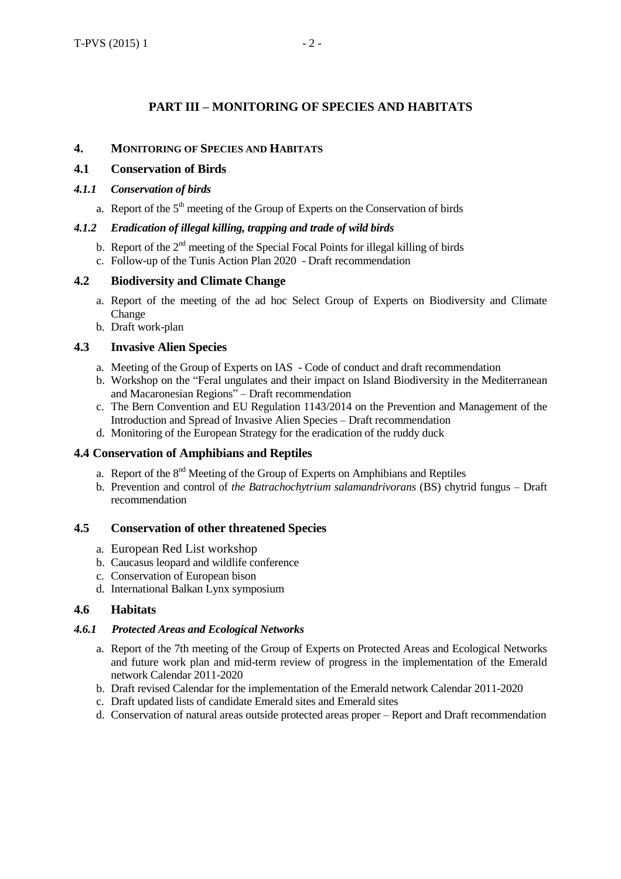## **PART III – MONITORING OF SPECIES AND HABITATS**

#### **4. MONITORING OF SPECIES AND HABITATS**

#### **4.1 Conservation of Birds**

#### *4.1.1 Conservation of birds*

a. Report of the 5<sup>th</sup> meeting of the Group of Experts on the Conservation of birds

### *4.1.2 Eradication of illegal killing, trapping and trade of wild birds*

- b. Report of the  $2<sup>nd</sup>$  meeting of the Special Focal Points for illegal killing of birds
- c. Follow-up of the Tunis Action Plan 2020 Draft recommendation

#### **4.2 Biodiversity and Climate Change**

- a. Report of the meeting of the ad hoc Select Group of Experts on Biodiversity and Climate Change
- b. Draft work-plan

#### **4.3 Invasive Alien Species**

- a. Meeting of the Group of Experts on IAS Code of conduct and draft recommendation
- b. Workshop on the "Feral ungulates and their impact on Island Biodiversity in the Mediterranean and Macaronesian Regions" – Draft recommendation
- c. The Bern Convention and EU Regulation 1143/2014 on the Prevention and Management of the Introduction and Spread of Invasive Alien Species – Draft recommendation
- d. Monitoring of the European Strategy for the eradication of the ruddy duck

#### **4.4 Conservation of Amphibians and Reptiles**

- a. Report of the 8<sup>nd</sup> Meeting of the Group of Experts on Amphibians and Reptiles
- b. Prevention and control of *the Batrachochytrium salamandrivorans* (BS) chytrid fungus Draft recommendation

#### **4.5 Conservation of other threatened Species**

- a. European Red List workshop
- b. Caucasus leopard and wildlife conference
- c. Conservation of European bison
- d. International Balkan Lynx symposium

#### **4.6 Habitats**

#### *4.6.1 Protected Areas and Ecological Networks*

- a. Report of the 7th meeting of the Group of Experts on Protected Areas and Ecological Networks and future work plan and mid-term review of progress in the implementation of the Emerald network Calendar 2011-2020
- b. Draft revised Calendar for the implementation of the Emerald network Calendar 2011-2020
- c. Draft updated lists of candidate Emerald sites and Emerald sites
- d. Conservation of natural areas outside protected areas proper Report and Draft recommendation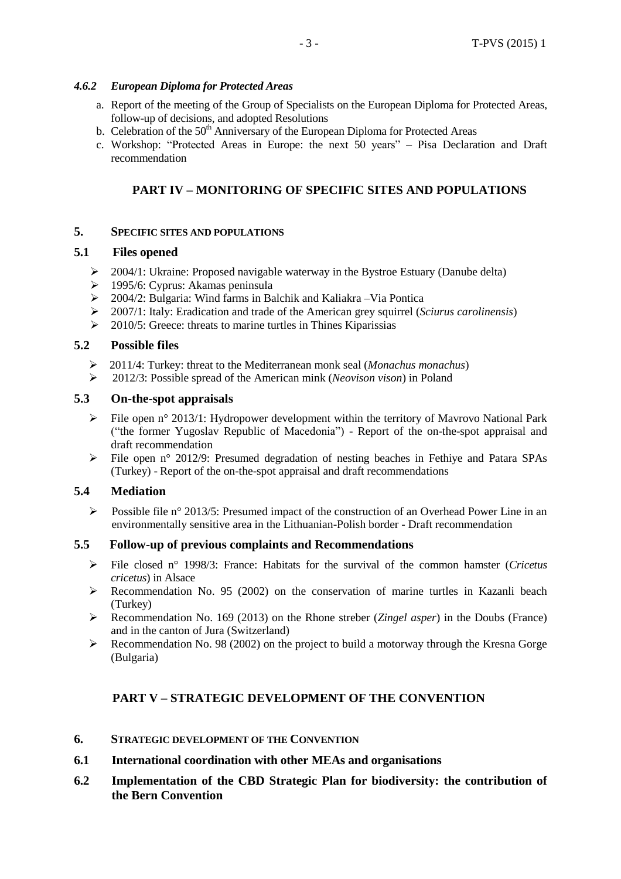## *4.6.2 European Diploma for Protected Areas*

- a. Report of the meeting of the Group of Specialists on the European Diploma for Protected Areas, follow-up of decisions, and adopted Resolutions
- b. Celebration of the  $50<sup>th</sup>$  Anniversary of the European Diploma for Protected Areas
- c. Workshop: "Protected Areas in Europe: the next 50 years" Pisa Declaration and Draft recommendation

# **PART IV – MONITORING OF SPECIFIC SITES AND POPULATIONS**

# **5. SPECIFIC SITES AND POPULATIONS**

# **5.1 Files opened**

- $\geq 2004/1$ : Ukraine: Proposed navigable waterway in the Bystroe Estuary (Danube delta)
- 1995/6: Cyprus: Akamas peninsula
- $\geq 2004/2$ : Bulgaria: Wind farms in Balchik and Kaliakra –Via Pontica<br> $\geq 2007/1$ : Italy: Eradication and trade of the American grey squirrel (S
- 2007/1: Italy: Eradication and trade of the American grey squirrel (*Sciurus carolinensis*)
- $\geq$  2010/5: Greece: threats to marine turtles in Thines Kiparissias

# **5.2 Possible files**

- 2011/4: Turkey: threat to the Mediterranean monk seal (*Monachus monachus*)
- 2012/3: Possible spread of the American mink (*Neovison vison*) in Poland

# **5.3 On-the-spot appraisals**

- File open n° 2013/1: Hydropower development within the territory of Mayrovo National Park ("the former Yugoslav Republic of Macedonia") - Report of the on-the-spot appraisal and draft recommendation
- File open n° 2012/9: Presumed degradation of nesting beaches in Fethiye and Patara SPAs (Turkey) - Report of the on-the-spot appraisal and draft recommendations

# **5.4 Mediation**

Possible file n° 2013/5: Presumed impact of the construction of an Overhead Power Line in an environmentally sensitive area in the Lithuanian-Polish border - Draft recommendation

# **5.5 Follow-up of previous complaints and Recommendations**

- File closed n° 1998/3: France: Habitats for the survival of the common hamster (*Cricetus cricetus*) in Alsace
- $\triangleright$  Recommendation No. 95 (2002) on the conservation of marine turtles in Kazanli beach (Turkey)
- Recommendation No. 169 (2013) on the Rhone streber (*Zingel asper*) in the Doubs (France) and in the canton of Jura (Switzerland)
- $\triangleright$  Recommendation No. 98 (2002) on the project to build a motorway through the Kresna Gorge (Bulgaria)

# **PART V – STRATEGIC DEVELOPMENT OF THE CONVENTION**

- **6. STRATEGIC DEVELOPMENT OF THE CONVENTION**
- **6.1 International coordination with other MEAs and organisations**
- **6.2 Implementation of the CBD Strategic Plan for biodiversity: the contribution of the Bern Convention**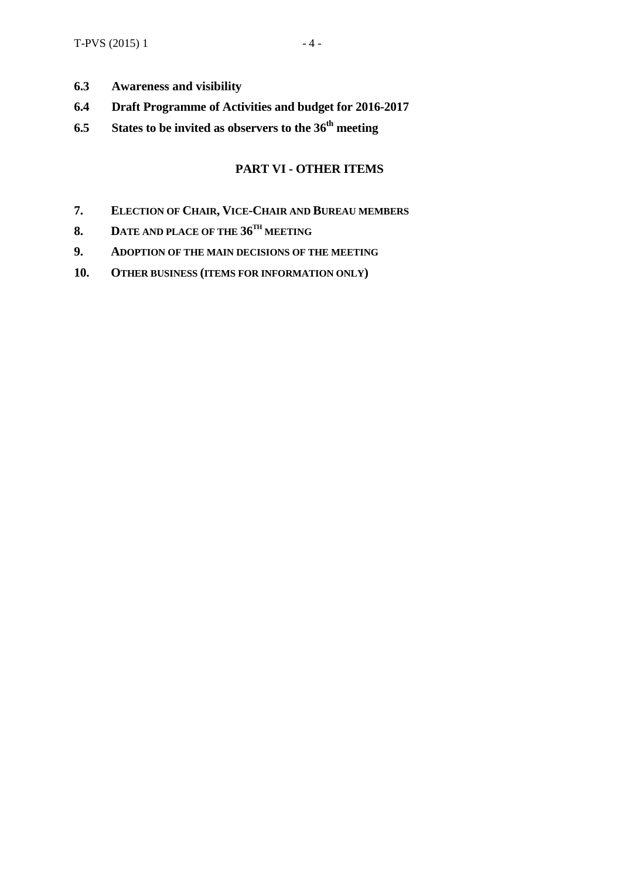- **6.3 Awareness and visibility**
- **6.4 Draft Programme of Activities and budget for 2016-2017**
- **6.5 States to be invited as observers to the 36 th meeting**

### **PART VI - OTHER ITEMS**

- **7. ELECTION OF CHAIR, VICE-CHAIR AND BUREAU MEMBERS**
- **8. DATE AND PLACE OF THE 36 TH MEETING**
- **9. ADOPTION OF THE MAIN DECISIONS OF THE MEETING**
- **10. OTHER BUSINESS (ITEMS FOR INFORMATION ONLY)**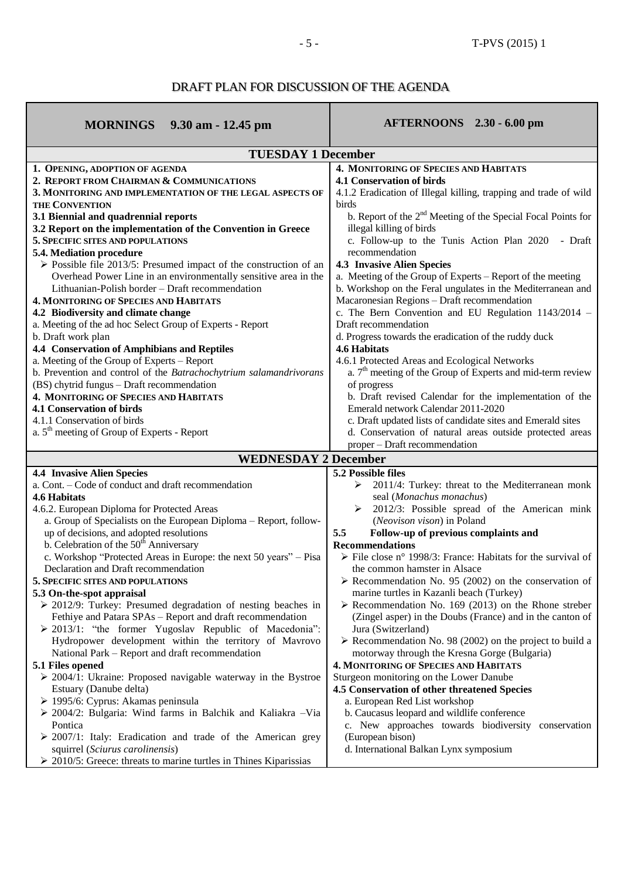## DRAFT PLAN FOR DISCUSSION OF THE AGENDA

<u> 1989 - Johann Stein, marwolaethau a bhann an t-Amhair Aonaichte an t-Amhair Aonaichte an t-Amhair Aonaichte a</u>

| <b>MORNINGS</b> 9.30 am - 12.45 pm                                                                        | AFTERNOONS 2.30 - 6.00 pm                                                   |
|-----------------------------------------------------------------------------------------------------------|-----------------------------------------------------------------------------|
| <b>TUESDAY 1 December</b>                                                                                 |                                                                             |
| 1. OPENING, ADOPTION OF AGENDA                                                                            | 4. MONITORING OF SPECIES AND HABITATS                                       |
| 2. REPORT FROM CHAIRMAN & COMMUNICATIONS                                                                  | <b>4.1 Conservation of birds</b>                                            |
| 3. MONITORING AND IMPLEMENTATION OF THE LEGAL ASPECTS OF                                                  | 4.1.2 Eradication of Illegal killing, trapping and trade of wild            |
| <b>THE CONVENTION</b>                                                                                     | birds                                                                       |
| 3.1 Biennial and quadrennial reports                                                                      | b. Report of the 2 <sup>nd</sup> Meeting of the Special Focal Points for    |
| 3.2 Report on the implementation of the Convention in Greece                                              | illegal killing of birds                                                    |
| 5. SPECIFIC SITES AND POPULATIONS                                                                         | c. Follow-up to the Tunis Action Plan 2020 - Draft                          |
| 5.4. Mediation procedure                                                                                  | recommendation                                                              |
| $\triangleright$ Possible file 2013/5: Presumed impact of the construction of an                          | <b>4.3 Invasive Alien Species</b>                                           |
| Overhead Power Line in an environmentally sensitive area in the                                           | a. Meeting of the Group of Experts - Report of the meeting                  |
| Lithuanian-Polish border – Draft recommendation                                                           | b. Workshop on the Feral ungulates in the Mediterranean and                 |
| <b>4. MONITORING OF SPECIES AND HABITATS</b>                                                              | Macaronesian Regions - Draft recommendation                                 |
| 4.2 Biodiversity and climate change                                                                       | c. The Bern Convention and EU Regulation 1143/2014 -                        |
| a. Meeting of the ad hoc Select Group of Experts - Report                                                 | Draft recommendation                                                        |
| b. Draft work plan                                                                                        | d. Progress towards the eradication of the ruddy duck                       |
| 4.4 Conservation of Amphibians and Reptiles                                                               | <b>4.6 Habitats</b>                                                         |
| a. Meeting of the Group of Experts - Report                                                               | 4.6.1 Protected Areas and Ecological Networks                               |
| b. Prevention and control of the Batrachochytrium salamandrivorans                                        | a. $7th$ meeting of the Group of Experts and mid-term review                |
| (BS) chytrid fungus - Draft recommendation                                                                | of progress                                                                 |
| 4. MONITORING OF SPECIES AND HABITATS                                                                     | b. Draft revised Calendar for the implementation of the                     |
| <b>4.1 Conservation of birds</b>                                                                          | Emerald network Calendar 2011-2020                                          |
| 4.1.1 Conservation of birds                                                                               | c. Draft updated lists of candidate sites and Emerald sites                 |
| a. 5 <sup>th</sup> meeting of Group of Experts - Report                                                   | d. Conservation of natural areas outside protected areas                    |
|                                                                                                           | proper – Draft recommendation                                               |
| <b>WEDNESDAY 2 December</b>                                                                               |                                                                             |
| <b>4.4 Invasive Alien Species</b>                                                                         | 5.2 Possible files                                                          |
| a. Cont. – Code of conduct and draft recommendation                                                       | $\geq$ 2011/4: Turkey: threat to the Mediterranean monk                     |
| 4.6 Habitats                                                                                              | seal (Monachus monachus)                                                    |
| 4.6.2. European Diploma for Protected Areas                                                               | 2012/3: Possible spread of the American mink                                |
| a. Group of Specialists on the European Diploma - Report, follow-                                         | (Neovison vison) in Poland                                                  |
| up of decisions, and adopted resolutions<br>b. Celebration of the 50 <sup>th</sup> Anniversary            | Follow-up of previous complaints and<br>5.5<br><b>Recommendations</b>       |
| c. Workshop "Protected Areas in Europe: the next 50 years" – Pisa                                         | $\triangleright$ File close n° 1998/3: France: Habitats for the survival of |
| Declaration and Draft recommendation                                                                      | the common hamster in Alsace                                                |
| 5. SPECIFIC SITES AND POPULATIONS                                                                         | $\triangleright$ Recommendation No. 95 (2002) on the conservation of        |
| 5.3 On-the-spot appraisal                                                                                 | marine turtles in Kazanli beach (Turkey)                                    |
| $\geq$ 2012/9: Turkey: Presumed degradation of nesting beaches in                                         | $\triangleright$ Recommendation No. 169 (2013) on the Rhone streber         |
| Fethiye and Patara SPAs - Report and draft recommendation                                                 | (Zingel asper) in the Doubs (France) and in the canton of                   |
| > 2013/1: "the former Yugoslav Republic of Macedonia":                                                    | Jura (Switzerland)                                                          |
| Hydropower development within the territory of Mavrovo                                                    | > Recommendation No. 98 (2002) on the project to build a                    |
| National Park - Report and draft recommendation                                                           | motorway through the Kresna Gorge (Bulgaria)                                |
| 5.1 Files opened                                                                                          | <b>4. MONITORING OF SPECIES AND HABITATS</b>                                |
| $\geq$ 2004/1: Ukraine: Proposed navigable waterway in the Bystroe                                        | Sturgeon monitoring on the Lower Danube                                     |
| Estuary (Danube delta)                                                                                    | 4.5 Conservation of other threatened Species                                |
| > 1995/6: Cyprus: Akamas peninsula                                                                        |                                                                             |
|                                                                                                           | a. European Red List workshop                                               |
| > 2004/2: Bulgaria: Wind farms in Balchik and Kaliakra - Via                                              | b. Caucasus leopard and wildlife conference                                 |
| Pontica                                                                                                   | c. New approaches towards biodiversity conservation                         |
| $\geq 2007/1$ : Italy: Eradication and trade of the American grey                                         | (European bison)                                                            |
| squirrel (Sciurus carolinensis)<br>$\geq$ 2010/5: Greece: threats to marine turtles in Thines Kiparissias | d. International Balkan Lynx symposium                                      |